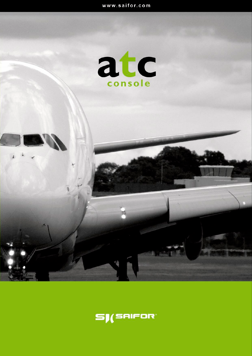

 $\mathbf{r}$ 

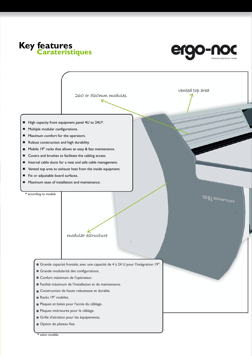



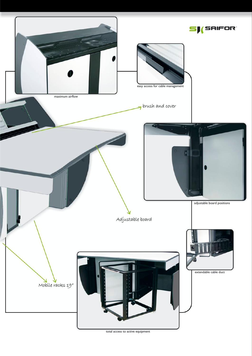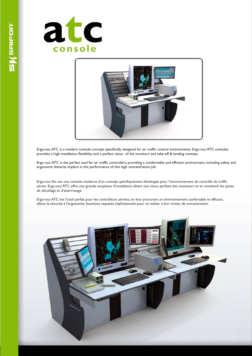



Ergo-noc ATC is a modern console concept specifically designed for air traffic control environments. Ergo-noc ATC consoles provides a high installation flexibility and a perfect vision of the monitors and take-off & landing runways.

Ergo noc-ATC is the perfect tool for air traffic controllers, providing a comfortable and efficient environment, including safety and ergonomic features implicit in the performance of this high concentration job.

Ergo-noc Atc est une console moderne d'un concept spécifiquement développé pour l'environnement de contrôle du traffic aérien. Ergo-noc ATC offre une grande souplesse d'installation alliant une vision parfaite des moniteurs et en simultané les pistes de décollage et d'atterrissage.

Ergo-noc ATC est l'outil parfait pour les contrôleurs aériens, en leur procurant un environnement confortable et efficace, alliant la sécurité à l'ergonomie, fonctions requises implicitement pour ce métier à fort niveau de concentration.

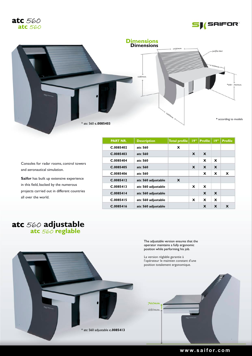





\* atc adjustable 560 **c.0085413**

| <b>PART NR.</b> | <b>Description</b> | Total profile | 19" | <b>Profile   19"</b> |             | <b>Profile</b> |
|-----------------|--------------------|---------------|-----|----------------------|-------------|----------------|
| C.0085402       | atc 560            | X             |     |                      |             |                |
| C.0085403       | atc 560            |               | X   | X                    |             |                |
| C.0085404       | atc 560            |               |     | X                    | X           |                |
| C.0085405       | atc 560            |               | X   | X                    | X           |                |
| C.0085406       | atc 560            |               |     | X                    | x           | $\mathbf x$    |
| C.0085412       | atc 560 adjustable | X             |     |                      |             |                |
| C.0085413       | atc 560 adjustable |               | x   | X                    |             |                |
| C.0085414       | atc 560 adjustable |               |     | X                    | $\mathbf x$ |                |
| C.0085415       | atc 560 adjustable |               | x   | X                    | x           |                |
| C.0085416       | atc 560 adjustable |               |     | X                    | X           | X              |

Consoles for radar rooms, control towers and aeronautical simulation.

**Saifor** has built up extensive experience in this field, backed by the numerous projects carried out in different countries all over the world.

## atc 560 reglable **atc** 560 **adjustable**

The adjustable version ensures that the operator maintains a fully ergonomic position while performing his job.

La version réglable garantie à l'opérateur le maintien constant d'une position totalement ergonomique.



#### **w w w. s a i f o r. c o m**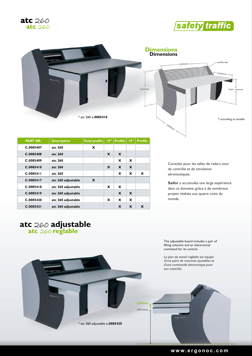





| <b>PART NR.</b> | <b>Description</b> | <b>Total profile</b> | 19"      | <b>Profile</b> | 19" | <b>Profile</b> |
|-----------------|--------------------|----------------------|----------|----------------|-----|----------------|
| C.0085407       | atc 260            | $\mathbf{x}$         |          |                |     |                |
| C.0085408       | atc 260            |                      | X        | X              |     |                |
| C.0085409       | atc 260            |                      |          | x              | X   |                |
| C.0085410       | atc 260            |                      | X        | X              | X   |                |
| C.0085411       | atc 260            |                      |          | x              | X   | X              |
| C.0085417       | atc 260 adjustable | X                    |          |                |     |                |
| C.0085418       | atc 260 adjustable |                      | X        | X              |     |                |
| C.0085419       | atc 260 adjustable |                      |          | X              | X   |                |
| C.0085420       | atc 260 adjustable |                      | <b>x</b> | x              | X   |                |
| C.0085421       | atc 260 adjustable |                      |          | X              | X   | X              |

Consoles pour les salles de radars, tour de contrôle et de simulation aéronautiques.

**Saifor** a accumulée une large expérience dans ce domaine, grâce à de nombreux projets réalisés aux quatre coins du monde.

## **atc** 260 **reglable atc adjustable** 260

The adjustable board includes a pair of lifting columns and an electronical command for its control.

Le plan de travail réglable est équipé d'une paire de colonnes ajustables et d'une commande électronique pour son contrôle.

\* 260 adjustable atc **c.0085420**

680mm  $760$ mv

**w w w. e r g o n o c . c o m**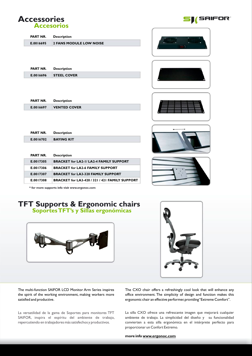### **Accessories Accesorios**

Γ

| <b>PART NR.</b> | <b>Description</b>             |
|-----------------|--------------------------------|
| E.0016695       | <b>2 FANS MODULE LOW NOISE</b> |
|                 |                                |

| <b>PART NR.</b> | <b>Description</b>   |
|-----------------|----------------------|
| E.0016696       | <b>I STEEL COVER</b> |

| PART NR.  | Description         |
|-----------|---------------------|
| E.0016697 | <b>VENTED COVER</b> |

| <b>PART NR.</b> | <b>Description</b> |
|-----------------|--------------------|
| E.0016702       | <b>BAYING KIT</b>  |

| <b>PART NR.</b> | <b>Description</b>                             |
|-----------------|------------------------------------------------|
| E.0017305       | <b>BRACKET for LA2-1/ LA2-4 FAMILY SUPPORT</b> |
| E.0017306       | <b>BRACKET for LA2-6 FAMILY SUPPORT</b>        |
| E.0017307       | <b>BRACKET for LA3-320 FAMILY SUPPORT</b>      |
| E.0017308       | BRACKET for LA3-420 / 321 / 421 FAMILY SUPPORT |



**SAIFOR** 









**\* for more supports info visit www.ergonoc.com**

# **Soportes TFT's y Sillas ergonómicas TFT & Ergonomic chairs Supports**





The multi-function SAIFOR LCD Monitor Arm Series inspires the spirit of the working environment, making workers more satisfied and productive.

La versatilidad de la gama de Soportes para monitores TFT SAIFOR, inspira el espíritu del ambiente de trabajo, repercutiendo en trabajadores más satisfechos y productivos.

The CXO chair offers a refreshingly cool look that will enhance any office environment. The simplicity of design and function makes this ergonomic chair an effective performer, providing "Extreme Comfort".

La silla CXO ofrece una refrescante imagen que mejorará cualquier ambiente de trabajo. La simplicidad del diseño y su funcionalidad convierten a esta silla ergonómica en el intérprete perfecto para proporcionar un Confort Extremo.

**more info www.ergonoc.com**